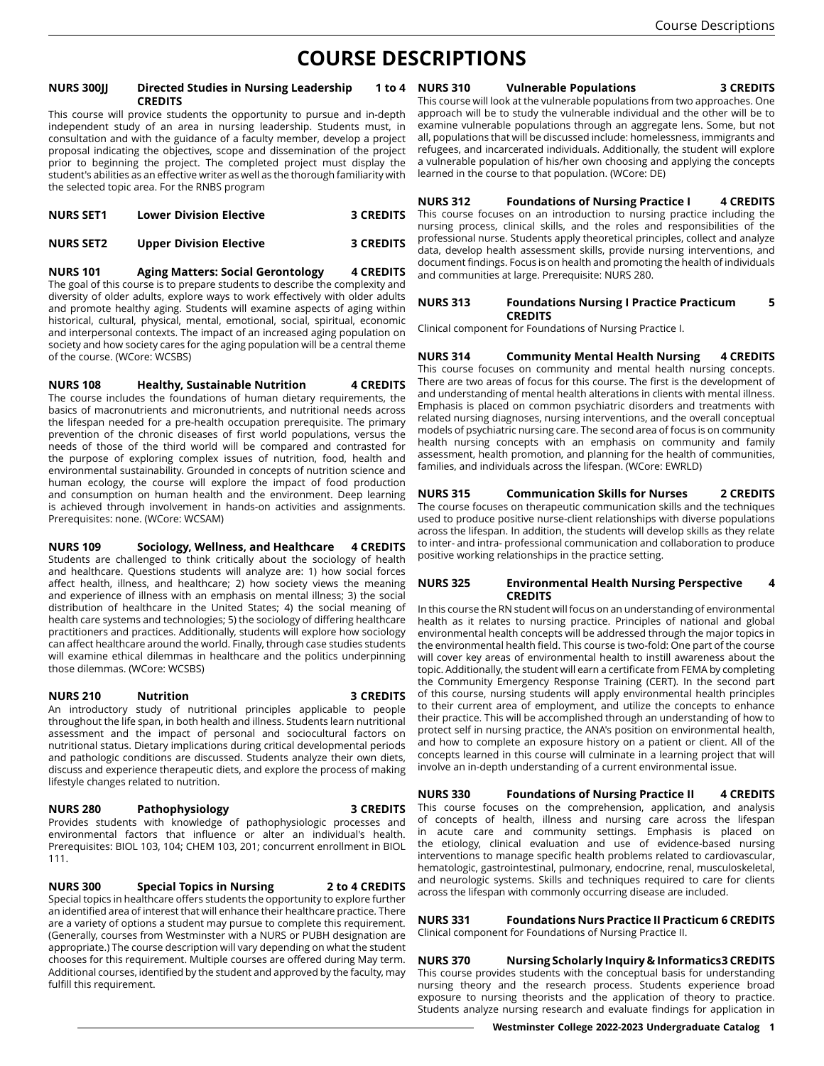# **COURSE DESCRIPTIONS**

#### **NURS 300JJ Directed Studies in Nursing Leadership 1 to 4 CREDITS**

This course will provice students the opportunity to pursue and in-depth independent study of an area in nursing leadership. Students must, in consultation and with the guidance of a faculty member, develop a project proposal indicating the objectives, scope and dissemination of the project prior to beginning the project. The completed project must display the student's abilities as an effective writer as well as the thorough familiarity with the selected topic area. For the RNBS program

| <b>NURS SET1</b> | <b>Lower Division Elective</b> | <b>3 CREDITS</b> |
|------------------|--------------------------------|------------------|
| <b>NURS SET2</b> | <b>Upper Division Elective</b> | <b>3 CREDITS</b> |

**NURS 101 Aging Matters: Social Gerontology 4 CREDITS** The goal of this course is to prepare students to describe the complexity and diversity of older adults, explore ways to work effectively with older adults and promote healthy aging. Students will examine aspects of aging within historical, cultural, physical, mental, emotional, social, spiritual, economic and interpersonal contexts. The impact of an increased aging population on society and how society cares for the aging population will be a central theme of the course. (WCore: WCSBS)

**NURS 108 Healthy, Sustainable Nutrition 4 CREDITS** The course includes the foundations of human dietary requirements, the

basics of macronutrients and micronutrients, and nutritional needs across the lifespan needed for a pre-health occupation prerequisite. The primary prevention of the chronic diseases of first world populations, versus the needs of those of the third world will be compared and contrasted for the purpose of exploring complex issues of nutrition, food, health and environmental sustainability. Grounded in concepts of nutrition science and human ecology, the course will explore the impact of food production and consumption on human health and the environment. Deep learning is achieved through involvement in hands-on activities and assignments. Prerequisites: none. (WCore: WCSAM)

**NURS 109 Sociology, Wellness, and Healthcare 4 CREDITS** Students are challenged to think critically about the sociology of health and healthcare. Questions students will analyze are: 1) how social forces affect health, illness, and healthcare; 2) how society views the meaning and experience of illness with an emphasis on mental illness; 3) the social distribution of healthcare in the United States; 4) the social meaning of health care systems and technologies; 5) the sociology of differing healthcare practitioners and practices. Additionally, students will explore how sociology can affect healthcare around the world. Finally, through case studies students will examine ethical dilemmas in healthcare and the politics underpinning those dilemmas. (WCore: WCSBS)

## **NURS 210 Nutrition 3 CREDITS**

An introductory study of nutritional principles applicable to people throughout the life span, in both health and illness. Students learn nutritional assessment and the impact of personal and sociocultural factors on nutritional status. Dietary implications during critical developmental periods and pathologic conditions are discussed. Students analyze their own diets, discuss and experience therapeutic diets, and explore the process of making lifestyle changes related to nutrition.

### **NURS 280 Pathophysiology 3 CREDITS**

Provides students with knowledge of pathophysiologic processes and environmental factors that influence or alter an individual's health. Prerequisites: BIOL 103, 104; CHEM 103, 201; concurrent enrollment in BIOL 111.

**NURS 300 Special Topics in Nursing 2 to 4 CREDITS** Special topics in healthcare offers students the opportunity to explore further an identified area of interest that will enhance their healthcare practice. There are a variety of options a student may pursue to complete this requirement. (Generally, courses from Westminster with a NURS or PUBH designation are appropriate.) The course description will vary depending on what the student chooses for this requirement. Multiple courses are offered during May term. Additional courses, identified by the student and approved by the faculty, may fulfill this requirement.

**NURS 310 Vulnerable Populations 3 CREDITS** This course will look at the vulnerable populations from two approaches. One approach will be to study the vulnerable individual and the other will be to examine vulnerable populations through an aggregate lens. Some, but not all, populations that will be discussed include: homelessness, immigrants and refugees, and incarcerated individuals. Additionally, the student will explore a vulnerable population of his/her own choosing and applying the concepts learned in the course to that population. (WCore: DE)

**NURS 312 Foundations of Nursing Practice I 4 CREDITS** This course focuses on an introduction to nursing practice including the nursing process, clinical skills, and the roles and responsibilities of the professional nurse. Students apply theoretical principles, collect and analyze data, develop health assessment skills, provide nursing interventions, and document findings. Focus is on health and promoting the health of individuals and communities at large. Prerequisite: NURS 280.

#### **NURS 313 Foundations Nursing I Practice Practicum 5 CREDITS**

Clinical component for Foundations of Nursing Practice I.

**NURS 314 Community Mental Health Nursing 4 CREDITS** This course focuses on community and mental health nursing concepts. There are two areas of focus for this course. The first is the development of and understanding of mental health alterations in clients with mental illness. Emphasis is placed on common psychiatric disorders and treatments with related nursing diagnoses, nursing interventions, and the overall conceptual models of psychiatric nursing care. The second area of focus is on community health nursing concepts with an emphasis on community and family assessment, health promotion, and planning for the health of communities, families, and individuals across the lifespan. (WCore: EWRLD)

## **NURS 315 Communication Skills for Nurses 2 CREDITS**

The course focuses on therapeutic communication skills and the techniques used to produce positive nurse-client relationships with diverse populations across the lifespan. In addition, the students will develop skills as they relate to inter- and intra- professional communication and collaboration to produce positive working relationships in the practice setting.

## **NURS 325 Environmental Health Nursing Perspective 4 CREDITS**

In this course the RN student will focus on an understanding of environmental health as it relates to nursing practice. Principles of national and global environmental health concepts will be addressed through the major topics in the environmental health field. This course is two-fold: One part of the course will cover key areas of environmental health to instill awareness about the topic. Additionally, the student will earn a certificate from FEMA by completing the Community Emergency Response Training (CERT). In the second part of this course, nursing students will apply environmental health principles to their current area of employment, and utilize the concepts to enhance their practice. This will be accomplished through an understanding of how to protect self in nursing practice, the ANA's position on environmental health, and how to complete an exposure history on a patient or client. All of the concepts learned in this course will culminate in a learning project that will involve an in-depth understanding of a current environmental issue.

**NURS 330 Foundations of Nursing Practice II 4 CREDITS** This course focuses on the comprehension, application, and analysis of concepts of health, illness and nursing care across the lifespan in acute care and community settings. Emphasis is placed on the etiology, clinical evaluation and use of evidence-based nursing interventions to manage specific health problems related to cardiovascular, hematologic, gastrointestinal, pulmonary, endocrine, renal, musculoskeletal, and neurologic systems. Skills and techniques required to care for clients across the lifespan with commonly occurring disease are included.

**NURS 331 Foundations Nurs Practice II Practicum 6 CREDITS** Clinical component for Foundations of Nursing Practice II.

**NURS 370 Nursing Scholarly Inquiry & Informatics3 CREDITS** This course provides students with the conceptual basis for understanding nursing theory and the research process. Students experience broad exposure to nursing theorists and the application of theory to practice. Students analyze nursing research and evaluate findings for application in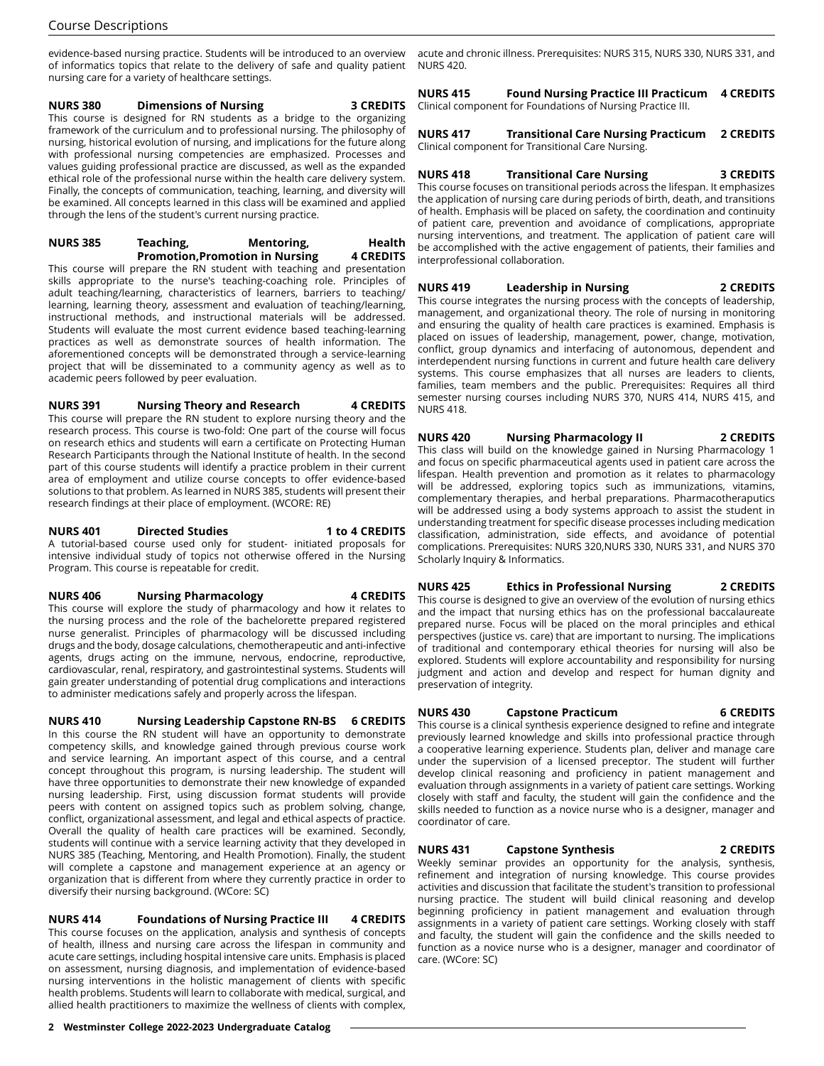evidence-based nursing practice. Students will be introduced to an overview of informatics topics that relate to the delivery of safe and quality patient nursing care for a variety of healthcare settings.

#### **NURS 380 Dimensions of Nursing 3 CREDITS** This course is designed for RN students as a bridge to the organizing framework of the curriculum and to professional nursing. The philosophy of nursing, historical evolution of nursing, and implications for the future along with professional nursing competencies are emphasized. Processes and values guiding professional practice are discussed, as well as the expanded ethical role of the professional nurse within the health care delivery system. Finally, the concepts of communication, teaching, learning, and diversity will be examined. All concepts learned in this class will be examined and applied

## **NURS 385 Teaching, Mentoring, Health Promotion,Promotion in Nursing 4 CREDITS**

through the lens of the student's current nursing practice.

This course will prepare the RN student with teaching and presentation skills appropriate to the nurse's teaching-coaching role. Principles of adult teaching/learning, characteristics of learners, barriers to teaching/ learning, learning theory, assessment and evaluation of teaching/learning, instructional methods, and instructional materials will be addressed. Students will evaluate the most current evidence based teaching-learning practices as well as demonstrate sources of health information. The aforementioned concepts will be demonstrated through a service-learning project that will be disseminated to a community agency as well as to academic peers followed by peer evaluation.

**NURS 391 Nursing Theory and Research 4 CREDITS** This course will prepare the RN student to explore nursing theory and the research process. This course is two-fold: One part of the course will focus on research ethics and students will earn a certificate on Protecting Human Research Participants through the National Institute of health. In the second part of this course students will identify a practice problem in their current area of employment and utilize course concepts to offer evidence-based solutions to that problem. As learned in NURS 385, students will present their research findings at their place of employment. (WCORE: RE)

#### **NURS 401 Directed Studies 1 to 4 CREDITS** A tutorial-based course used only for student- initiated proposals for intensive individual study of topics not otherwise offered in the Nursing Program. This course is repeatable for credit.

## **NURS 406 Nursing Pharmacology 4 CREDITS**

This course will explore the study of pharmacology and how it relates to the nursing process and the role of the bachelorette prepared registered nurse generalist. Principles of pharmacology will be discussed including drugs and the body, dosage calculations, chemotherapeutic and anti-infective agents, drugs acting on the immune, nervous, endocrine, reproductive, cardiovascular, renal, respiratory, and gastrointestinal systems. Students will gain greater understanding of potential drug complications and interactions to administer medications safely and properly across the lifespan.

**NURS 410 Nursing Leadership Capstone RN-BS 6 CREDITS** In this course the RN student will have an opportunity to demonstrate competency skills, and knowledge gained through previous course work and service learning. An important aspect of this course, and a central concept throughout this program, is nursing leadership. The student will have three opportunities to demonstrate their new knowledge of expanded nursing leadership. First, using discussion format students will provide peers with content on assigned topics such as problem solving, change, conflict, organizational assessment, and legal and ethical aspects of practice. Overall the quality of health care practices will be examined. Secondly, students will continue with a service learning activity that they developed in NURS 385 (Teaching, Mentoring, and Health Promotion). Finally, the student will complete a capstone and management experience at an agency or organization that is different from where they currently practice in order to diversify their nursing background. (WCore: SC)

**NURS 414 Foundations of Nursing Practice III 4 CREDITS** This course focuses on the application, analysis and synthesis of concepts of health, illness and nursing care across the lifespan in community and acute care settings, including hospital intensive care units. Emphasis is placed on assessment, nursing diagnosis, and implementation of evidence-based nursing interventions in the holistic management of clients with specific health problems. Students will learn to collaborate with medical, surgical, and allied health practitioners to maximize the wellness of clients with complex,

acute and chronic illness. Prerequisites: NURS 315, NURS 330, NURS 331, and NURS 420.

**NURS 415 Found Nursing Practice III Practicum 4 CREDITS** Clinical component for Foundations of Nursing Practice III.

**NURS 417 Transitional Care Nursing Practicum 2 CREDITS** Clinical component for Transitional Care Nursing.

## **NURS 418 Transitional Care Nursing 3 CREDITS**

This course focuses on transitional periods across the lifespan. It emphasizes the application of nursing care during periods of birth, death, and transitions of health. Emphasis will be placed on safety, the coordination and continuity of patient care, prevention and avoidance of complications, appropriate nursing interventions, and treatment. The application of patient care will be accomplished with the active engagement of patients, their families and interprofessional collaboration.

## **NURS 419 Leadership in Nursing 2 CREDITS**

This course integrates the nursing process with the concepts of leadership, management, and organizational theory. The role of nursing in monitoring and ensuring the quality of health care practices is examined. Emphasis is placed on issues of leadership, management, power, change, motivation, conflict, group dynamics and interfacing of autonomous, dependent and interdependent nursing functions in current and future health care delivery systems. This course emphasizes that all nurses are leaders to clients, families, team members and the public. Prerequisites: Requires all third semester nursing courses including NURS 370, NURS 414, NURS 415, and NURS 418.

## **NURS 420 Nursing Pharmacology II 2 CREDITS**

This class will build on the knowledge gained in Nursing Pharmacology 1 and focus on specific pharmaceutical agents used in patient care across the lifespan. Health prevention and promotion as it relates to pharmacology will be addressed, exploring topics such as immunizations, vitamins, complementary therapies, and herbal preparations. Pharmacotheraputics will be addressed using a body systems approach to assist the student in understanding treatment for specific disease processes including medication classification, administration, side effects, and avoidance of potential complications. Prerequisites: NURS 320,NURS 330, NURS 331, and NURS 370 Scholarly Inquiry & Informatics.

## **NURS 425 Ethics in Professional Nursing 2 CREDITS**

This course is designed to give an overview of the evolution of nursing ethics and the impact that nursing ethics has on the professional baccalaureate prepared nurse. Focus will be placed on the moral principles and ethical perspectives (justice vs. care) that are important to nursing. The implications of traditional and contemporary ethical theories for nursing will also be explored. Students will explore accountability and responsibility for nursing judgment and action and develop and respect for human dignity and preservation of integrity.

## **NURS 430 Capstone Practicum 6 CREDITS**

This course is a clinical synthesis experience designed to refine and integrate previously learned knowledge and skills into professional practice through a cooperative learning experience. Students plan, deliver and manage care under the supervision of a licensed preceptor. The student will further develop clinical reasoning and proficiency in patient management and evaluation through assignments in a variety of patient care settings. Working closely with staff and faculty, the student will gain the confidence and the skills needed to function as a novice nurse who is a designer, manager and coordinator of care.

## **NURS 431 Capstone Synthesis 2 CREDITS**

Weekly seminar provides an opportunity for the analysis, synthesis, refinement and integration of nursing knowledge. This course provides activities and discussion that facilitate the student's transition to professional nursing practice. The student will build clinical reasoning and develop beginning proficiency in patient management and evaluation through assignments in a variety of patient care settings. Working closely with staff and faculty, the student will gain the confidence and the skills needed to function as a novice nurse who is a designer, manager and coordinator of care. (WCore: SC)